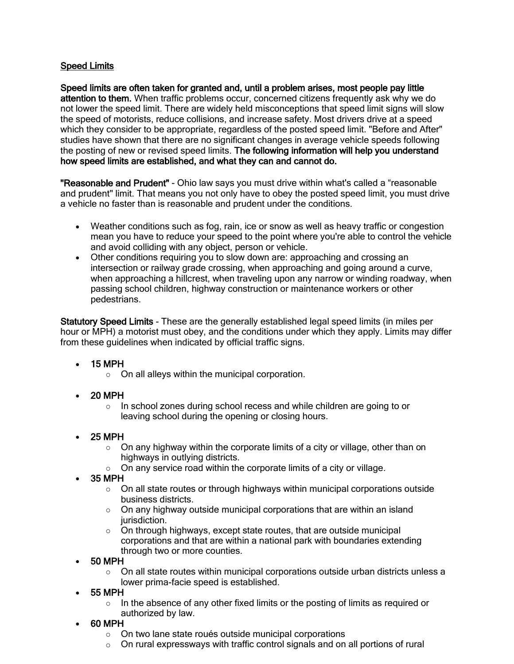## Speed Limits

Speed limits are often taken for granted and, until a problem arises, most people pay little attention to them. When traffic problems occur, concerned citizens frequently ask why we do not lower the speed limit. There are widely held misconceptions that speed limit signs will slow the speed of motorists, reduce collisions, and increase safety. Most drivers drive at a speed which they consider to be appropriate, regardless of the posted speed limit. "Before and After" studies have shown that there are no significant changes in average vehicle speeds following the posting of new or revised speed limits. The following information will help you understand how speed limits are established, and what they can and cannot do.

"Reasonable and Prudent" - Ohio law says you must drive within what's called a "reasonable and prudent" limit. That means you not only have to obey the posted speed limit, you must drive a vehicle no faster than is reasonable and prudent under the conditions.

- Weather conditions such as fog, rain, ice or snow as well as heavy traffic or congestion mean you have to reduce your speed to the point where you're able to control the vehicle and avoid colliding with any object, person or vehicle.
- Other conditions requiring you to slow down are: approaching and crossing an intersection or railway grade crossing, when approaching and going around a curve, when approaching a hillcrest, when traveling upon any narrow or winding roadway, when passing school children, highway construction or maintenance workers or other pedestrians.

Statutory Speed Limits - These are the generally established legal speed limits (in miles per hour or MPH) a motorist must obey, and the conditions under which they apply. Limits may differ from these guidelines when indicated by official traffic signs.

- 15 MPH
	- $\circ$  On all alleys within the municipal corporation.
- 20 MPH
	- o In school zones during school recess and while children are going to or leaving school during the opening or closing hours.
- 25 MPH
	- $\circ$  On any highway within the corporate limits of a city or village, other than on highways in outlying districts.
	- $\circ$  On any service road within the corporate limits of a city or village.
- 35 MPH
	- $\circ$  On all state routes or through highways within municipal corporations outside business districts.
	- $\circ$  On any highway outside municipal corporations that are within an island jurisdiction.
	- o On through highways, except state routes, that are outside municipal corporations and that are within a national park with boundaries extending through two or more counties.
- 50 MPH
	- o On all state routes within municipal corporations outside urban districts unless a lower prima-facie speed is established.
- 55 MPH
	- $\circ$  In the absence of any other fixed limits or the posting of limits as required or authorized by law.
- 60 MPH
	- o On two lane state roués outside municipal corporations
	- $\circ$  On rural expressways with traffic control signals and on all portions of rural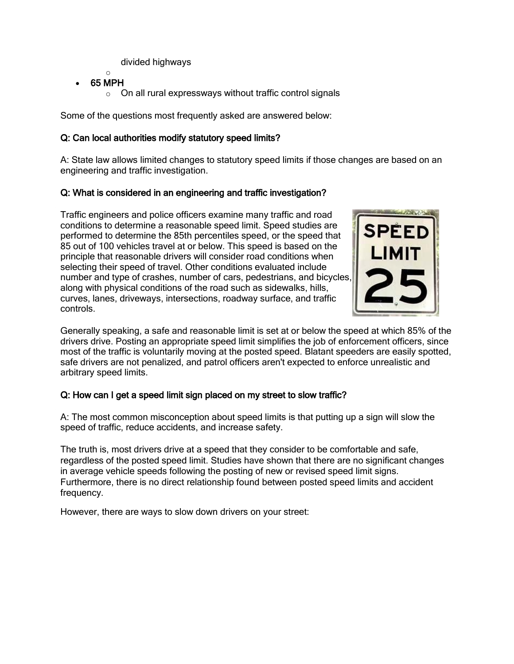divided highways

- o 65 MPH
	- o On all rural expressways without traffic control signals

Some of the questions most frequently asked are answered below:

# Q: Can local authorities modify statutory speed limits?

A: State law allows limited changes to statutory speed limits if those changes are based on an engineering and traffic investigation.

## Q: What is considered in an engineering and traffic investigation?

Traffic engineers and police officers examine many traffic and road conditions to determine a reasonable speed limit. Speed studies are performed to determine the 85th percentiles speed, or the speed that 85 out of 100 vehicles travel at or below. This speed is based on the principle that reasonable drivers will consider road conditions when selecting their speed of travel. Other conditions evaluated include number and type of crashes, number of cars, pedestrians, and bicycles, along with physical conditions of the road such as sidewalks, hills, curves, lanes, driveways, intersections, roadway surface, and traffic controls.



Generally speaking, a safe and reasonable limit is set at or below the speed at which 85% of the drivers drive. Posting an appropriate speed limit simplifies the job of enforcement officers, since most of the traffic is voluntarily moving at the posted speed. Blatant speeders are easily spotted, safe drivers are not penalized, and patrol officers aren't expected to enforce unrealistic and arbitrary speed limits.

### Q: How can I get a speed limit sign placed on my street to slow traffic?

A: The most common misconception about speed limits is that putting up a sign will slow the speed of traffic, reduce accidents, and increase safety.

The truth is, most drivers drive at a speed that they consider to be comfortable and safe, regardless of the posted speed limit. Studies have shown that there are no significant changes in average vehicle speeds following the posting of new or revised speed limit signs. Furthermore, there is no direct relationship found between posted speed limits and accident frequency.

However, there are ways to slow down drivers on your street: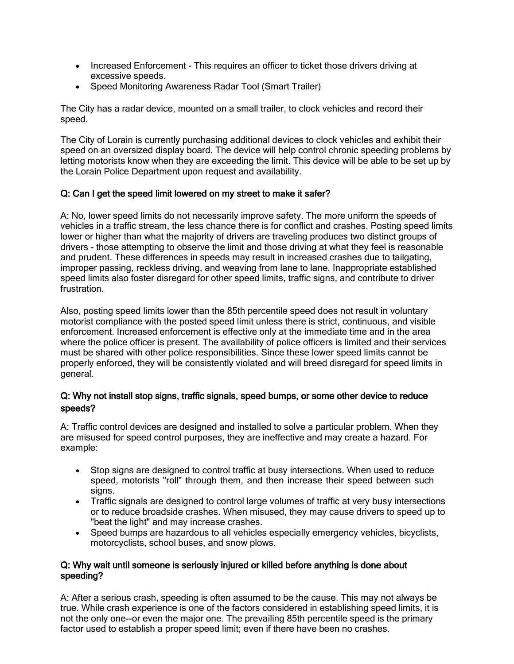- Increased Enforcement This requires an officer to ticket those drivers driving at excessive speeds.
- Speed Monitoring Awareness Radar Tool (Smart Trailer)

The City has a radar device, mounted on a small trailer, to clock vehicles and record their speed.

The City of Lorain is currently purchasing additional devices to clock vehicles and exhibit their speed on an oversized display board. The device will help control chronic speeding problems by letting motorists know when they are exceeding the limit. This device will be able to be set up by the Lorain Police Department upon request and availability.

### Q: Can I get the speed limit lowered on my street to make it safer?

A: No, lower speed limits do not necessarily improve safety. The more uniform the speeds of vehicles in a traffic stream, the less chance there is for conflict and crashes. Posting speed limits lower or higher than what the majority of drivers are traveling produces two distinct groups of drivers - those attempting to observe the limit and those driving at what they feel is reasonable and prudent. These differences in speeds may result in increased crashes due to tailgating, improper passing, reckless driving, and weaving from lane to lane. Inappropriate established speed limits also foster disregard for other speed limits, traffic signs, and contribute to driver frustration.

Also, posting speed limits lower than the 85th percentile speed does not result in voluntary motorist compliance with the posted speed limit unless there is strict, continuous, and visible enforcement. Increased enforcement is effective only at the immediate time and in the area where the police officer is present. The availability of police officers is limited and their services must be shared with other police responsibilities. Since these lower speed limits cannot be properly enforced, they will be consistently violated and will breed disregard for speed limits in general.

### Q: Why not install stop signs, traffic signals, speed bumps, or some other device to reduce speeds?

A: Traffic control devices are designed and installed to solve a particular problem. When they are misused for speed control purposes, they are ineffective and may create a hazard. For example:

- Stop signs are designed to control traffic at busy intersections. When used to reduce speed, motorists "roll" through them, and then increase their speed between such signs.
- Traffic signals are designed to control large volumes of traffic at very busy intersections or to reduce broadside crashes. When misused, they may cause drivers to speed up to "beat the light" and may increase crashes.
- Speed bumps are hazardous to all vehicles especially emergency vehicles, bicyclists, motorcyclists, school buses, and snow plows.

#### Q: Why wait until someone is seriously injured or killed before anything is done about speeding?

A: After a serious crash, speeding is often assumed to be the cause. This may not always be true. While crash experience is one of the factors considered in establishing speed limits, it is not the only one--or even the major one. The prevailing 85th percentile speed is the primary factor used to establish a proper speed limit; even if there have been no crashes.